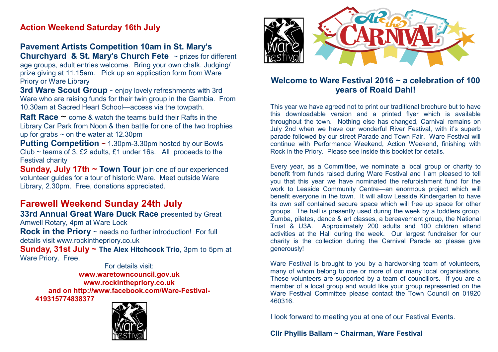## **Action Weekend Saturday 16th July**

#### **Pavement Artists Competition 10am in St. Mary's Churchyard & St. Mary's Church Fete** ~ prizes for different

age groups, adult entries welcome. Bring your own chalk. Judging/ prize giving at 11.15am. Pick up an application form from Ware Priory or Ware Library

**3rd Ware Scout Group** - enjoy lovely refreshments with 3rd Ware who are raising funds for their twin group in the Gambia. From 10.30am at Sacred Heart School—access via the towpath.

**Raft Race** ~ come & watch the teams build their Rafts in the Library Car Park from Noon & then battle for one of the two trophies up for grabs  $\sim$  on the water at 12.30pm

**Putting Competition** ~ 1.30pm-3.30pm hosted by our Bowls Club ~ teams of 3, £2 adults, £1 under 16s. All proceeds to the Festival charity

**Sunday, July 17th ~ Town Tour** join one of our experienced volunteer guides for a tour of historic Ware. Meet outside Ware Library, 2.30pm. Free, donations appreciated.

# **Farewell Weekend Sunday 24th July**

**33rd Annual Great Ware Duck Race presented by Great** Amwell Rotary, 4pm at Ware Lock

**Rock in the Priory** ~ needs no further introduction! For full details visit www.rockinthepriory.co.uk

**Sunday, 31st July ~ The Alex Hitchcock Trio**, 3pm to 5pm at Ware Priory. Free.

For details visit: **www.waretowncouncil.gov.uk www.rockinthepriory.co.uk and on http://www.facebook.com/Ware-Festival-419315774838377**





#### **Welcome to Ware Festival 2016 ~ a celebration of 100 years of Roald Dahl!**

This year we have agreed not to print our traditional brochure but to have this downloadable version and a printed flyer which is available throughout the town. Nothing else has changed, Carnival remains on July 2nd when we have our wonderful River Festival, with it's superb parade followed by our street Parade and Town Fair. Ware Festival will continue with Performance Weekend, Action Weekend, finishing with Rock in the Priory. Please see inside this booklet for details.

Every year, as a Committee, we nominate a local group or charity to benefit from funds raised during Ware Festival and I am pleased to tell you that this year we have nominated the refurbishment fund for the work to Leaside Community Centre—an enormous project which will benefit everyone in the town. It will allow Leaside Kindergarten to have its own self contained secure space which will free up space for other groups. The hall is presently used during the week by a toddlers group, Zumba, pilates, dance & art classes, a bereavement group, the National Trust & U3A. Approximately 200 adults and 100 children attend activities at the Hall during the week. Our largest fundraiser for our charity is the collection during the Carnival Parade so please give generously!

Ware Festival is brought to you by a hardworking team of volunteers, many of whom belong to one or more of our many local organisations. These volunteers are supported by a team of councillors. If you are a member of a local group and would like your group represented on the Ware Festival Committee please contact the Town Council on 01920 460316.

I look forward to meeting you at one of our Festival Events.

**Cllr Phyllis Ballam ~ Chairman, Ware Festival**